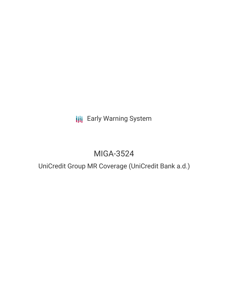**III** Early Warning System

# MIGA-3524

UniCredit Group MR Coverage (UniCredit Bank a.d.)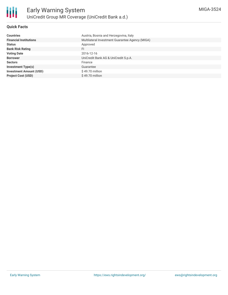

## **Quick Facts**

| <b>Countries</b>               | Austria, Bosnia and Herzegovina, Italy          |
|--------------------------------|-------------------------------------------------|
| <b>Financial Institutions</b>  | Multilateral Investment Guarantee Agency (MIGA) |
| <b>Status</b>                  | Approved                                        |
| <b>Bank Risk Rating</b>        | FI                                              |
| <b>Voting Date</b>             | 2016-12-16                                      |
| <b>Borrower</b>                | UniCredit Bank AG & UniCredit S.p.A.            |
| <b>Sectors</b>                 | Finance                                         |
| <b>Investment Type(s)</b>      | Guarantee                                       |
| <b>Investment Amount (USD)</b> | $$49.70$ million                                |
| <b>Project Cost (USD)</b>      | $$49.70$ million                                |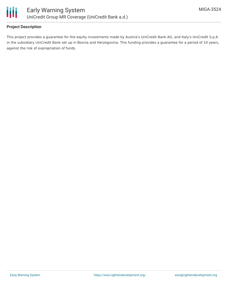

## **Project Description**

This project provides a guarantee for the equity investments made by Austria's UniCredit Bank AG, and Italy's UniCredit S.p.A in the subsidiary UniCredit Bank set up in Bosnia and Herzegovina. This funding provides a guarantee for a period of 10 years, against the risk of expropriation of funds.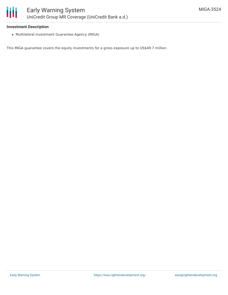

### **Investment Description**

Multilateral Investment Guarantee Agency (MIGA)

This MIGA guarantee covers the equity investments for a gross exposure up to US\$49.7 million.